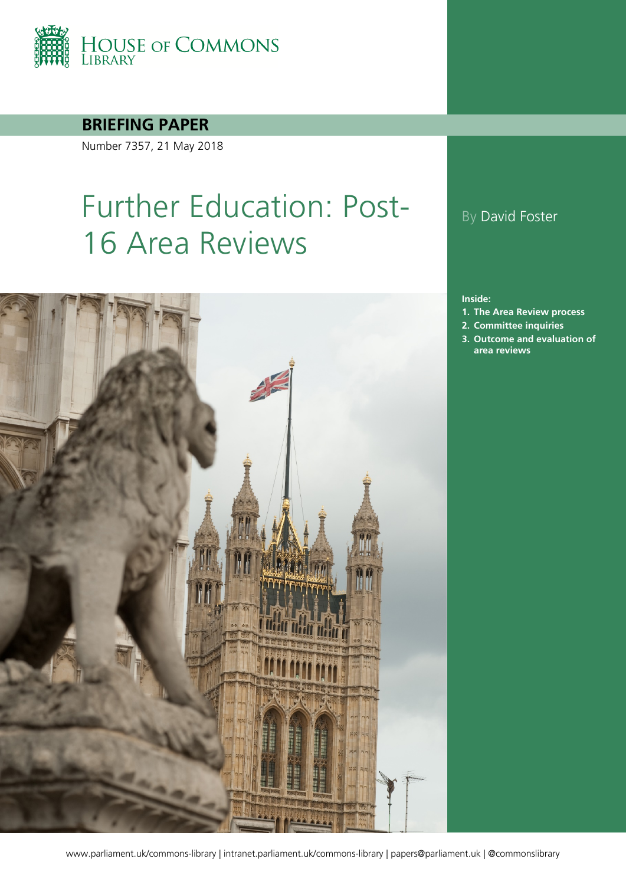

### **BRIEFING PAPER**

Number 7357, 21 May 2018

# Further Education: Post-16 Area Reviews



## By David Foster

#### **Inside:**

- **1. [The Area Review process](#page-3-0)**
- **2. [Committee inquiries](#page-10-0)**
- **3. [Outcome and evaluation of](#page-12-0)  [area reviews](#page-12-0)**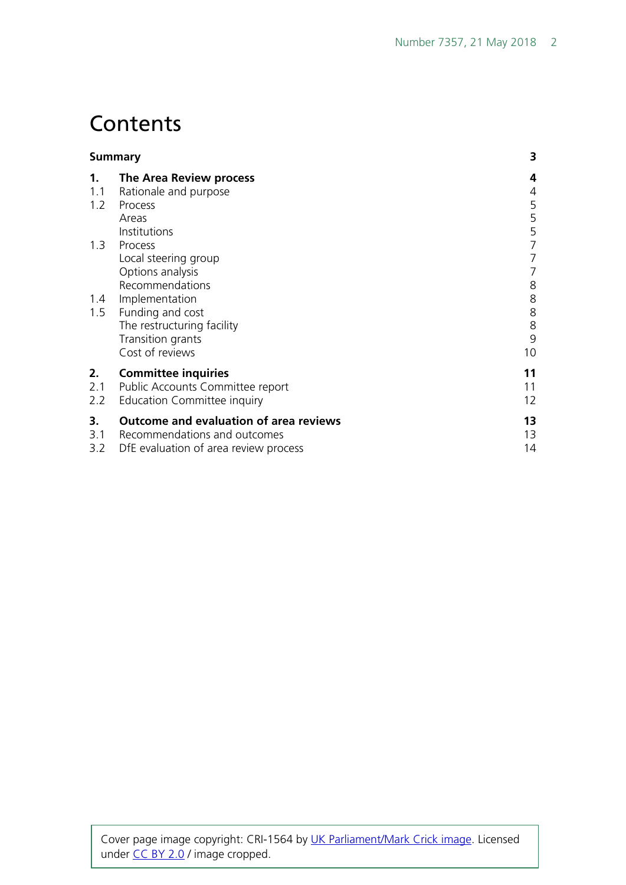# **Contents**

|     | <b>Summary</b>                                | 3  |
|-----|-----------------------------------------------|----|
| 1.  | The Area Review process                       | 4  |
| 1.1 | Rationale and purpose                         | 4  |
| 1.2 | Process                                       | 5  |
|     | Areas                                         | 5  |
|     | Institutions                                  | 5  |
| 1.3 | Process                                       | 7  |
|     | Local steering group                          |    |
|     | Options analysis                              | 7  |
|     | Recommendations                               | 8  |
| 1.4 | Implementation                                | 8  |
| 1.5 | Funding and cost                              | 8  |
|     | The restructuring facility                    | 8  |
|     | Transition grants                             | 9  |
|     | Cost of reviews                               | 10 |
| 2.  | <b>Committee inquiries</b>                    | 11 |
| 2.1 | Public Accounts Committee report              | 11 |
| 2.2 | Education Committee inquiry                   | 12 |
| 3.  | <b>Outcome and evaluation of area reviews</b> | 13 |
| 3.1 | Recommendations and outcomes                  | 13 |
| 3.2 | DfE evaluation of area review process         | 14 |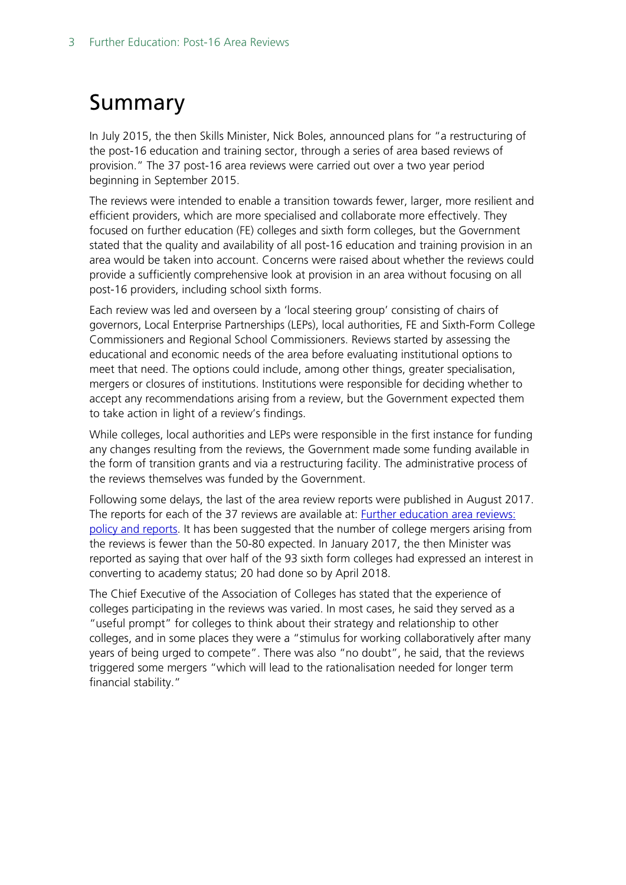# <span id="page-2-0"></span>Summary

In July 2015, the then Skills Minister, Nick Boles, announced plans for "a restructuring of the post-16 education and training sector, through a series of area based reviews of provision." The 37 post-16 area reviews were carried out over a two year period beginning in September 2015.

The reviews were intended to enable a transition towards fewer, larger, more resilient and efficient providers, which are more specialised and collaborate more effectively. They focused on further education (FE) colleges and sixth form colleges, but the Government stated that the quality and availability of all post-16 education and training provision in an area would be taken into account. Concerns were raised about whether the reviews could provide a sufficiently comprehensive look at provision in an area without focusing on all post-16 providers, including school sixth forms.

Each review was led and overseen by a 'local steering group' consisting of chairs of governors, Local Enterprise Partnerships (LEPs), local authorities, FE and Sixth-Form College Commissioners and Regional School Commissioners. Reviews started by assessing the educational and economic needs of the area before evaluating institutional options to meet that need. The options could include, among other things, greater specialisation, mergers or closures of institutions. Institutions were responsible for deciding whether to accept any recommendations arising from a review, but the Government expected them to take action in light of a review's findings.

While colleges, local authorities and LEPs were responsible in the first instance for funding any changes resulting from the reviews, the Government made some funding available in the form of transition grants and via a restructuring facility. The administrative process of the reviews themselves was funded by the Government.

Following some delays, the last of the area review reports were published in August 2017. The reports for each of the 37 reviews are available at: [Further education area reviews:](https://www.gov.uk/government/collections/post-16-education-and-training-area-reviews)  [policy and reports.](https://www.gov.uk/government/collections/post-16-education-and-training-area-reviews) It has been suggested that the number of college mergers arising from the reviews is fewer than the 50-80 expected. In January 2017, the then Minister was reported as saying that over half of the 93 sixth form colleges had expressed an interest in converting to academy status; 20 had done so by April 2018.

The Chief Executive of the Association of Colleges has stated that the experience of colleges participating in the reviews was varied. In most cases, he said they served as a "useful prompt" for colleges to think about their strategy and relationship to other colleges, and in some places they were a "stimulus for working collaboratively after many years of being urged to compete". There was also "no doubt", he said, that the reviews triggered some mergers "which will lead to the rationalisation needed for longer term financial stability."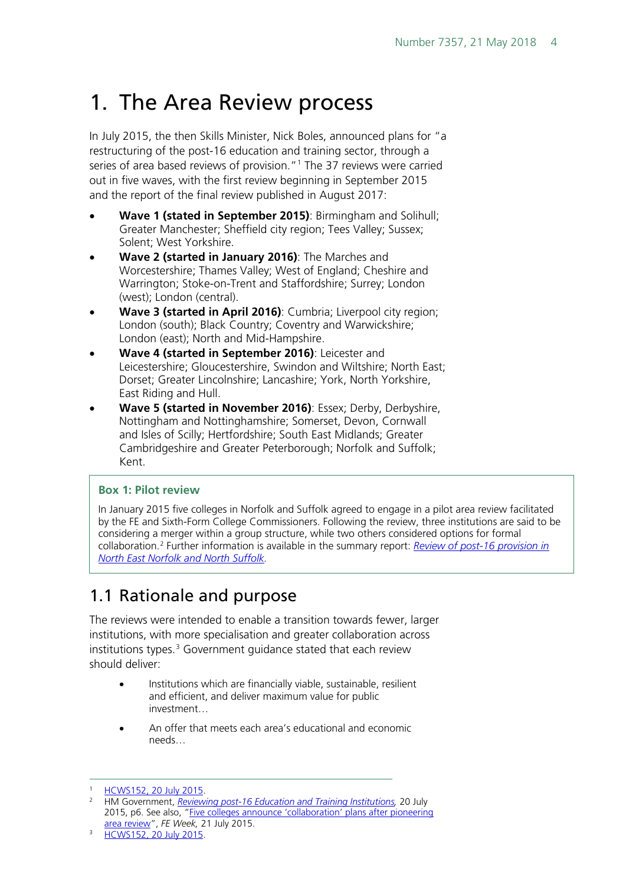# <span id="page-3-0"></span>1. The Area Review process

In July 2015, the then Skills Minister, Nick Boles, announced plans for "a restructuring of the post-16 education and training sector, through a series of area based reviews of provision."<sup>[1](#page-3-2)</sup> The 37 reviews were carried out in five waves, with the first review beginning in September 2015 and the report of the final review published in August 2017:

- **Wave 1 (stated in September 2015)**: Birmingham and Solihull; Greater Manchester; Sheffield city region; Tees Valley; Sussex; Solent; West Yorkshire.
- **Wave 2 (started in January 2016)**: The Marches and Worcestershire; Thames Valley; West of England; Cheshire and Warrington; Stoke-on-Trent and Staffordshire; Surrey; London (west); London (central).
- **Wave 3 (started in April 2016)**: Cumbria; Liverpool city region; London (south); Black Country; Coventry and Warwickshire; London (east); North and Mid-Hampshire.
- **Wave 4 (started in September 2016)**: Leicester and Leicestershire; Gloucestershire, Swindon and Wiltshire; North East; Dorset; Greater Lincolnshire; Lancashire; York, North Yorkshire, East Riding and Hull.
- **Wave 5 (started in November 2016)**: Essex; Derby, Derbyshire, Nottingham and Nottinghamshire; Somerset, Devon, Cornwall and Isles of Scilly; Hertfordshire; South East Midlands; Greater Cambridgeshire and Greater Peterborough; Norfolk and Suffolk; Kent.

#### **Box 1: Pilot review**

In January 2015 five colleges in Norfolk and Suffolk agreed to engage in a pilot area review facilitated by the FE and Sixth-Form College Commissioners. Following the review, three institutions are said to be considering a merger within a group structure, while two others considered options for formal collaboration.[2](#page-3-3) Further information is available in the summary report: *[Review of post-16 provision in](https://www.gov.uk/government/uploads/system/uploads/attachment_data/file/452930/North_East_Norfolk_and_North_Suffolk_-_Sixth_Form_College_Commissioner_s....pdf)  [North East Norfolk and North Suffolk.](https://www.gov.uk/government/uploads/system/uploads/attachment_data/file/452930/North_East_Norfolk_and_North_Suffolk_-_Sixth_Form_College_Commissioner_s....pdf)*

# <span id="page-3-1"></span>1.1 Rationale and purpose

The reviews were intended to enable a transition towards fewer, larger institutions, with more specialisation and greater collaboration across institutions types.<sup>[3](#page-3-4)</sup> Government guidance stated that each review should deliver:

- Institutions which are financially viable, sustainable, resilient and efficient, and deliver maximum value for public investment…
- An offer that meets each area's educational and economic needs…

<span id="page-3-2"></span> <sup>1</sup> [HCWS152, 20 July 2015.](http://www.parliament.uk/written-questions-answers-statements/written-statement/Commons/2015-07-20/HCWS152)

<span id="page-3-3"></span><sup>2</sup> HM Government, *[Reviewing post-16 Education and Training Institutions,](https://www.gov.uk/government/uploads/system/uploads/attachment_data/file/446516/BIS-15-433-reviewing-post-16-education-policy.pdf)* 20 July 2015, p6. See also, ["Five colleges announce 'collaboration' plans after pioneering](http://feweek.co.uk/2015/07/21/five-colleges-announce-collaboration-plans-after-pioneering-area-review/)  [area review"](http://feweek.co.uk/2015/07/21/five-colleges-announce-collaboration-plans-after-pioneering-area-review/), *FE Week,* 21 July 2015.

<span id="page-3-4"></span><sup>3</sup> [HCWS152, 20 July 2015.](http://www.parliament.uk/written-questions-answers-statements/written-statement/Commons/2015-07-20/HCWS152)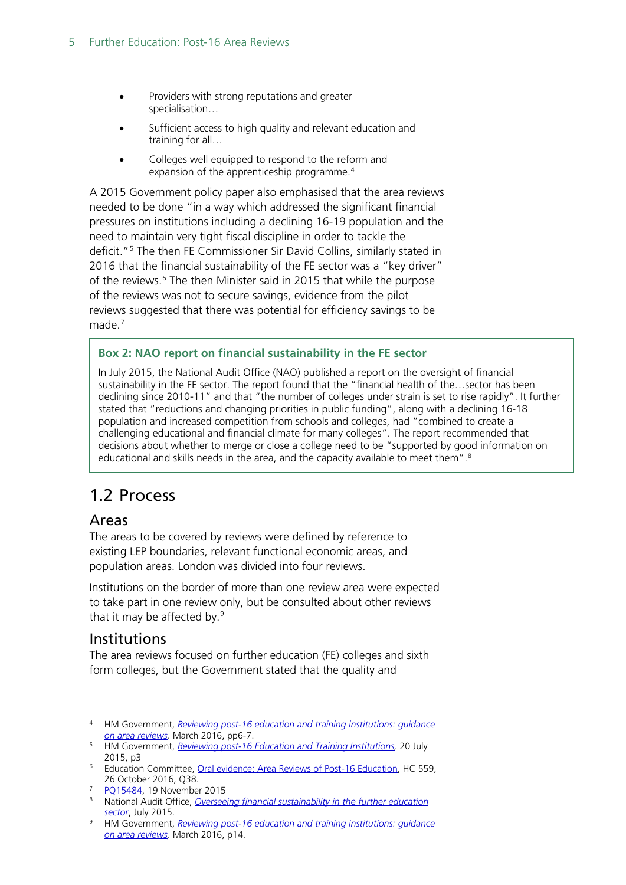- Providers with strong reputations and greater specialisation…
- Sufficient access to high quality and relevant education and training for all…
- Colleges well equipped to respond to the reform and expansion of the apprenticeship programme.<sup>[4](#page-4-3)</sup>

A 2015 Government policy paper also emphasised that the area reviews needed to be done "in a way which addressed the significant financial pressures on institutions including a declining 16-19 population and the need to maintain very tight fiscal discipline in order to tackle the deficit."[5](#page-4-4) The then FE Commissioner Sir David Collins, similarly stated in 2016 that the financial sustainability of the FE sector was a "key driver" of the reviews.<sup>[6](#page-4-5)</sup> The then Minister said in 2015 that while the purpose of the reviews was not to secure savings, evidence from the pilot reviews suggested that there was potential for efficiency savings to be made. [7](#page-4-6)

#### **Box 2: NAO report on financial sustainability in the FE sector**

In July 2015, the National Audit Office (NAO) published a report on the oversight of financial sustainability in the FE sector. The report found that the "financial health of the…sector has been declining since 2010-11" and that "the number of colleges under strain is set to rise rapidly". It further stated that "reductions and changing priorities in public funding", along with a declining 16-18 population and increased competition from schools and colleges, had "combined to create a challenging educational and financial climate for many colleges". The report recommended that decisions about whether to merge or close a college need to be "supported by good information on educational and skills needs in the area, and the capacity available to meet them".<sup>[8](#page-4-7)</sup>

## <span id="page-4-0"></span>1.2 Process

#### <span id="page-4-1"></span>Areas

The areas to be covered by reviews were defined by reference to existing LEP boundaries, relevant functional economic areas, and population areas. London was divided into four reviews.

Institutions on the border of more than one review area were expected to take part in one review only, but be consulted about other reviews that it may be affected by. [9](#page-4-8)

#### <span id="page-4-2"></span>Institutions

The area reviews focused on further education (FE) colleges and sixth form colleges, but the Government stated that the quality and

<span id="page-4-3"></span> <sup>4</sup> HM Government, *[Reviewing post-16 education and training institutions: guidance](https://www.gov.uk/government/uploads/system/uploads/attachment_data/file/459845/BIS-15-526-reviewing-post-16-education-and-training-institutions-guidance-on-area-reviews.pdf)  [on area reviews,](https://www.gov.uk/government/uploads/system/uploads/attachment_data/file/459845/BIS-15-526-reviewing-post-16-education-and-training-institutions-guidance-on-area-reviews.pdf)* March 2016, pp6-7.

<span id="page-4-4"></span><sup>5</sup> HM Government, *[Reviewing post-16 Education and Training Institutions,](https://www.gov.uk/government/uploads/system/uploads/attachment_data/file/446516/BIS-15-433-reviewing-post-16-education-policy.pdf)* 20 July 2015, p3

<span id="page-4-5"></span><sup>&</sup>lt;sup>6</sup> Education Committee, [Oral evidence: Area Reviews of Post-16 Education,](http://data.parliament.uk/writtenevidence/committeeevidence.svc/evidencedocument/education-committee/area-reviews-of-post16-education/oral/42263.pdf) HC 559, 26 October 2016, Q38.

<sup>7</sup> [PQ15484,](http://www.parliament.uk/written-questions-answers-statements/written-question/commons/2015-11-09/15484) 19 November 2015

<span id="page-4-7"></span><span id="page-4-6"></span><sup>8</sup> National Audit Office, *Overseeing financial sustainability in the further education [sector](https://www.nao.org.uk/wp-content/uploads/2015/07/Overseeing-financial-sustainability-in-the-further-education-sector-Summary1.pdf)*, July 2015.

<span id="page-4-8"></span><sup>9</sup> HM Government, *[Reviewing post-16 education and training institutions: guidance](https://www.gov.uk/government/uploads/system/uploads/attachment_data/file/459845/BIS-15-526-reviewing-post-16-education-and-training-institutions-guidance-on-area-reviews.pdf)  [on area reviews,](https://www.gov.uk/government/uploads/system/uploads/attachment_data/file/459845/BIS-15-526-reviewing-post-16-education-and-training-institutions-guidance-on-area-reviews.pdf)* March 2016, p14.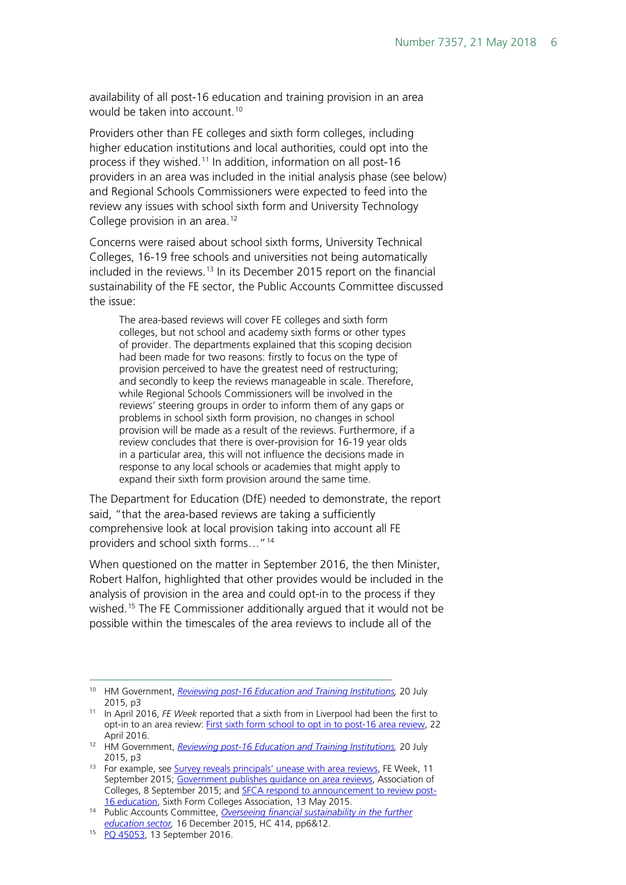availability of all post-16 education and training provision in an area would be taken into account.<sup>[10](#page-5-0)</sup>

Providers other than FE colleges and sixth form colleges, including higher education institutions and local authorities, could opt into the process if they wished.<sup>[11](#page-5-1)</sup> In addition, information on all post-16 providers in an area was included in the initial analysis phase (see below) and Regional Schools Commissioners were expected to feed into the review any issues with school sixth form and University Technology College provision in an area. [12](#page-5-2)

Concerns were raised about school sixth forms, University Technical Colleges, 16-19 free schools and universities not being automatically included in the reviews. [13](#page-5-3) In its December 2015 report on the financial sustainability of the FE sector, the Public Accounts Committee discussed the issue:

The area-based reviews will cover FE colleges and sixth form colleges, but not school and academy sixth forms or other types of provider. The departments explained that this scoping decision had been made for two reasons: firstly to focus on the type of provision perceived to have the greatest need of restructuring; and secondly to keep the reviews manageable in scale. Therefore, while Regional Schools Commissioners will be involved in the reviews' steering groups in order to inform them of any gaps or problems in school sixth form provision, no changes in school provision will be made as a result of the reviews. Furthermore, if a review concludes that there is over-provision for 16-19 year olds in a particular area, this will not influence the decisions made in response to any local schools or academies that might apply to expand their sixth form provision around the same time.

The Department for Education (DfE) needed to demonstrate, the report said, "that the area-based reviews are taking a sufficiently comprehensive look at local provision taking into account all FE providers and school sixth forms..."<sup>[14](#page-5-4)</sup>

When questioned on the matter in September 2016, the then Minister, Robert Halfon, highlighted that other provides would be included in the analysis of provision in the area and could opt-in to the process if they wished.<sup>[15](#page-5-5)</sup> The FE Commissioner additionally argued that it would not be possible within the timescales of the area reviews to include all of the

<span id="page-5-0"></span> <sup>10</sup> HM Government, *[Reviewing post-16 Education and Training Institutions,](https://www.gov.uk/government/uploads/system/uploads/attachment_data/file/446516/BIS-15-433-reviewing-post-16-education-policy.pdf)* 20 July 2015, p3

<span id="page-5-1"></span><sup>11</sup> In April 2016, *FE Week* reported that a sixth from in Liverpool had been the first to opt-in to an area review: [First sixth form school to opt in to post-16 area review,](http://feweek.co.uk/2016/04/22/first-sixth-form-school-to-opt-in-to-post-16-area-review/) 22 April 2016.

<span id="page-5-2"></span><sup>12</sup> HM Government, *[Reviewing post-16 Education and Training Institutions,](https://www.gov.uk/government/uploads/system/uploads/attachment_data/file/446516/BIS-15-433-reviewing-post-16-education-policy.pdf)* 20 July 2015, p3

<span id="page-5-3"></span><sup>&</sup>lt;sup>13</sup> For example, see [Survey reveals principals' unease with area reviews,](http://feweek.co.uk/2015/09/11/survey-reveals-principals-unease-with-area-reviews/) FE Week, 11 September 2015; [Government publishes guidance on area reviews,](https://www.aoc.co.uk/news/government-publishes-guidance-area-reviews) Association of Colleges, 8 September 2015; and [SFCA respond to announcement to review post-](http://www.sixthformcolleges.org/sfca-comment)[16 education,](http://www.sixthformcolleges.org/sfca-comment) Sixth Form Colleges Association, 13 May 2015.

<span id="page-5-4"></span><sup>14</sup> Public Accounts Committee, *[Overseeing financial sustainability in the further](http://www.publications.parliament.uk/pa/cm201516/cmselect/cmpubacc/414/414.pdf)  [education sector,](http://www.publications.parliament.uk/pa/cm201516/cmselect/cmpubacc/414/414.pdf)* 16 December 2015, HC 414, pp6&12.

<span id="page-5-5"></span><sup>15</sup> [PQ 45053,](http://www.parliament.uk/written-questions-answers-statements/written-question/commons/2016-09-05/45053) 13 September 2016.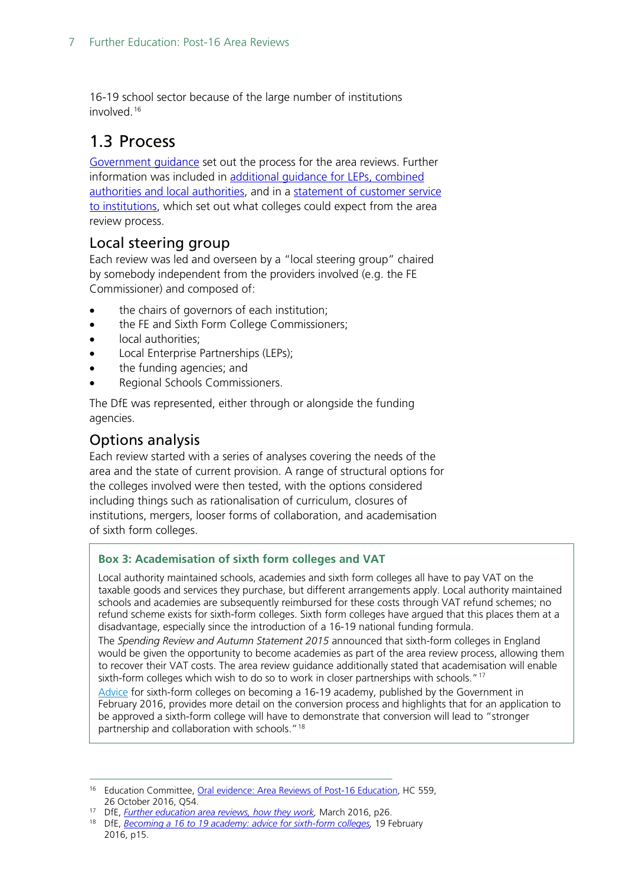16-19 school sector because of the large number of institutions involved<sup>[16](#page-6-3)</sup>

# <span id="page-6-0"></span>1.3 Process

[Government guidance](https://www.gov.uk/government/publications/post-16-education-and-training-institutions-area-based-reviews) set out the process for the area reviews. Further information was included in [additional guidance for LEPs, combined](https://www.gov.uk/government/publications/further-education-area-reviews-guidance-for-leps-and-las)  [authorities and local authorities,](https://www.gov.uk/government/publications/further-education-area-reviews-guidance-for-leps-and-las) and in a [statement of customer service](https://hopuk-my.sharepoint.com/personal/fosterda_parliament_uk/Documents/Briefing%20Papers/v)  [to institutions,](https://hopuk-my.sharepoint.com/personal/fosterda_parliament_uk/Documents/Briefing%20Papers/v) which set out what colleges could expect from the area review process.

### <span id="page-6-1"></span>Local steering group

Each review was led and overseen by a "local steering group" chaired by somebody independent from the providers involved (e.g. the FE Commissioner) and composed of:

- the chairs of governors of each institution;
- the FE and Sixth Form College Commissioners;
- local authorities;
- Local Enterprise Partnerships (LEPs);
- the funding agencies; and
- Regional Schools Commissioners.

The DfE was represented, either through or alongside the funding agencies.

### <span id="page-6-2"></span>Options analysis

Each review started with a series of analyses covering the needs of the area and the state of current provision. A range of structural options for the colleges involved were then tested, with the options considered including things such as rationalisation of curriculum, closures of institutions, mergers, looser forms of collaboration, and academisation of sixth form colleges.

#### **Box 3: Academisation of sixth form colleges and VAT**

Local authority maintained schools, academies and sixth form colleges all have to pay VAT on the taxable goods and services they purchase, but different arrangements apply. Local authority maintained schools and academies are subsequently reimbursed for these costs through VAT refund schemes; no refund scheme exists for sixth-form colleges. Sixth form colleges have argued that this places them at a disadvantage, especially since the introduction of a 16-19 national funding formula.

The *Spending Review and Autumn Statement 2015* announced that sixth-form colleges in England would be given the opportunity to become academies as part of the area review process, allowing them to recover their VAT costs. The area review guidance additionally stated that academisation will enable sixth-form colleges which wish to do so to work in closer partnerships with schools."<sup>[17](#page-6-4)</sup>

[Advice](https://www.gov.uk/government/publications/16-to-19-academies-application-process-for-sixth-form-colleges) for sixth-form colleges on becoming a 16-19 academy, published by the Government in February 2016, provides more detail on the conversion process and highlights that for an application to be approved a sixth-form college will have to demonstrate that conversion will lead to "stronger partnership and collaboration with schools."[18](#page-6-5)

<span id="page-6-4"></span><sup>17</sup> DfE, *Further education area reviews, how they work*, March 2016, p26.

<span id="page-6-3"></span><sup>&</sup>lt;sup>16</sup> Education Committee, [Oral evidence: Area Reviews of Post-16 Education,](http://data.parliament.uk/writtenevidence/committeeevidence.svc/evidencedocument/education-committee/area-reviews-of-post16-education/oral/42263.pdf) HC 559, 26 October 2016, Q54.

<span id="page-6-5"></span><sup>18</sup> DfE, *[Becoming a 16 to 19 academy: advice for sixth-form colleges,](https://www.gov.uk/government/uploads/system/uploads/attachment_data/file/502173/Becoming_a_16_to_19_academy_-_advice_for_sixth-form_colleges.pdf)* 19 February 2016, p15.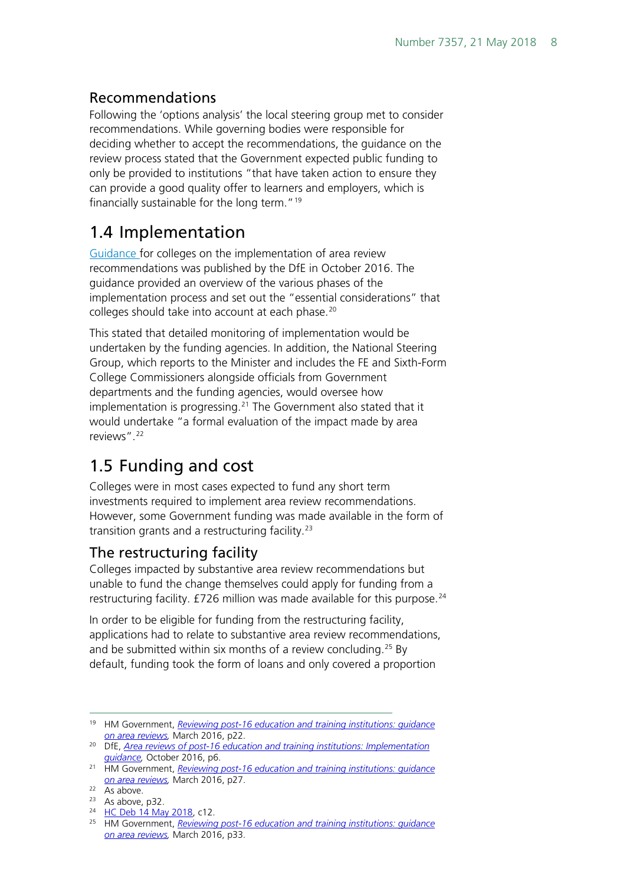## <span id="page-7-0"></span>Recommendations

Following the 'options analysis' the local steering group met to consider recommendations. While governing bodies were responsible for deciding whether to accept the recommendations, the guidance on the review process stated that the Government expected public funding to only be provided to institutions "that have taken action to ensure they can provide a good quality offer to learners and employers, which is financially sustainable for the long term."<sup>[19](#page-7-4)</sup>

# <span id="page-7-1"></span>1.4 Implementation

[Guidance f](https://www.gov.uk/government/publications/further-education-area-reviews-guidance-on-restructuring)or colleges on the implementation of area review recommendations was published by the DfE in October 2016. The guidance provided an overview of the various phases of the implementation process and set out the "essential considerations" that colleges should take into account at each phase.<sup>[20](#page-7-5)</sup>

This stated that detailed monitoring of implementation would be undertaken by the funding agencies. In addition, the National Steering Group, which reports to the Minister and includes the FE and Sixth-Form College Commissioners alongside officials from Government departments and the funding agencies, would oversee how implementation is progressing. $21$  The Government also stated that it would undertake "a formal evaluation of the impact made by area reviews".[22](#page-7-7)

# <span id="page-7-2"></span>1.5 Funding and cost

Colleges were in most cases expected to fund any short term investments required to implement area review recommendations. However, some Government funding was made available in the form of transition grants and a restructuring facility.[23](#page-7-8)

## <span id="page-7-3"></span>The restructuring facility

Colleges impacted by substantive area review recommendations but unable to fund the change themselves could apply for funding from a restructuring facility.  $E$ 726 million was made available for this purpose.<sup>[24](#page-7-9)</sup>

In order to be eligible for funding from the restructuring facility, applications had to relate to substantive area review recommendations, and be submitted within six months of a review concluding. [25](#page-7-10) By default, funding took the form of loans and only covered a proportion

<span id="page-7-4"></span> <sup>19</sup> HM Government, *[Reviewing post-16 education and training institutions: guidance](https://www.gov.uk/government/uploads/system/uploads/attachment_data/file/459845/BIS-15-526-reviewing-post-16-education-and-training-institutions-guidance-on-area-reviews.pdf)  [on area reviews,](https://www.gov.uk/government/uploads/system/uploads/attachment_data/file/459845/BIS-15-526-reviewing-post-16-education-and-training-institutions-guidance-on-area-reviews.pdf)* March 2016, p22.

<span id="page-7-5"></span><sup>20</sup> DfE, *[Area reviews of post-16 education and training institutions: Implementation](https://www.gov.uk/government/uploads/system/uploads/attachment_data/file/561721/Implementation_Guidance_weblinks_updated.pdf)  [guidance,](https://www.gov.uk/government/uploads/system/uploads/attachment_data/file/561721/Implementation_Guidance_weblinks_updated.pdf)* October 2016, p6.

<span id="page-7-6"></span><sup>21</sup> HM Government, *[Reviewing post-16 education and training institutions: guidance](https://www.gov.uk/government/uploads/system/uploads/attachment_data/file/459845/BIS-15-526-reviewing-post-16-education-and-training-institutions-guidance-on-area-reviews.pdf)  [on area reviews,](https://www.gov.uk/government/uploads/system/uploads/attachment_data/file/459845/BIS-15-526-reviewing-post-16-education-and-training-institutions-guidance-on-area-reviews.pdf)* March 2016, p27.

<span id="page-7-7"></span> $22 \overline{As above}.$ 

<span id="page-7-8"></span><sup>23</sup> As above, p32.

<span id="page-7-9"></span><sup>&</sup>lt;sup>24</sup> [HC Deb 14 May 2018,](https://hansard.parliament.uk/commons/2018-05-14/debates/28B7B87C-B33B-4B69-B2D5-16AF519F3309/OralAnswersToQuestions#contribution-B50FFA51-05FF-4C4E-AB9D-2B3FFD545F69) c12.

<span id="page-7-10"></span><sup>25</sup> HM Government, *[Reviewing post-16 education and training institutions: guidance](https://www.gov.uk/government/uploads/system/uploads/attachment_data/file/459845/BIS-15-526-reviewing-post-16-education-and-training-institutions-guidance-on-area-reviews.pdf)  [on area reviews,](https://www.gov.uk/government/uploads/system/uploads/attachment_data/file/459845/BIS-15-526-reviewing-post-16-education-and-training-institutions-guidance-on-area-reviews.pdf)* March 2016, p33.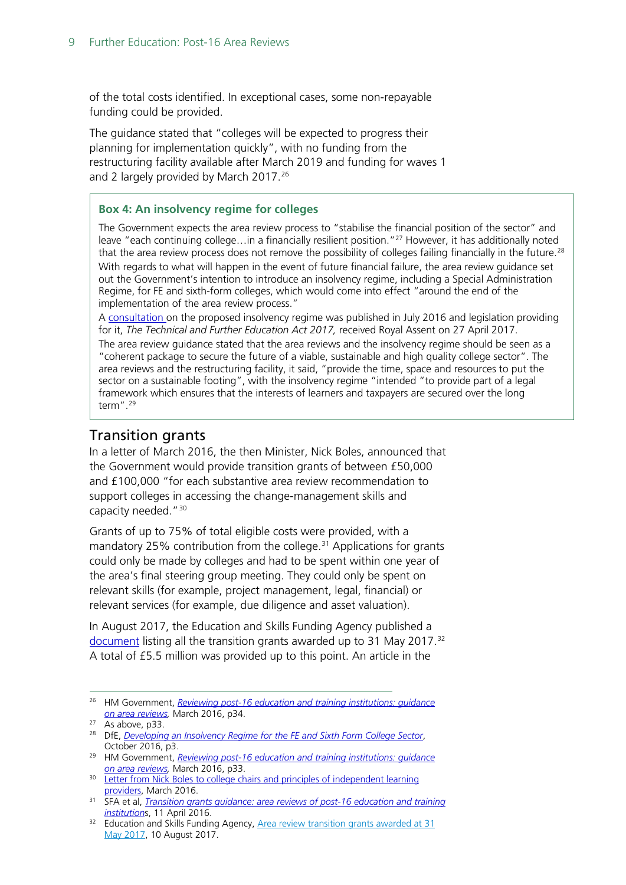of the total costs identified. In exceptional cases, some non-repayable funding could be provided.

The guidance stated that "colleges will be expected to progress their planning for implementation quickly", with no funding from the restructuring facility available after March 2019 and funding for waves 1 and 2 largely provided by March 2017.<sup>[26](#page-8-1)</sup>

#### **Box 4: An insolvency regime for colleges**

The Government expects the area review process to "stabilise the financial position of the sector" and leave "each continuing college...in a financially resilient position."<sup>27</sup> However, it has additionally noted that the area review process does not remove the possibility of colleges failing financially in the future.<sup>[28](#page-8-6)</sup> With regards to what will happen in the event of future financial failure, the area review guidance set out the Government's intention to introduce an insolvency regime, including a Special Administration Regime, for FE and sixth-form colleges, which would come into effect "around the end of the implementation of the area review process."

A [consultation o](https://www.gov.uk/government/consultations/developing-an-insolvency-regime-for-the-further-education-and-sixth-form-sector)n the proposed insolvency regime was published in July 2016 and legislation providing for it, *The Technical and Further Education Act 2017,* received Royal Assent on 27 April 2017.

The area review guidance stated that the area reviews and the insolvency regime should be seen as a "coherent package to secure the future of a viable, sustainable and high quality college sector". The area reviews and the restructuring facility, it said, "provide the time, space and resources to put the sector on a sustainable footing", with the insolvency regime "intended "to provide part of a legal framework which ensures that the interests of learners and taxpayers are secured over the long term". [29](#page-8-7)

### <span id="page-8-0"></span>Transition grants

In a letter of March 2016, the then Minister, Nick Boles, announced that the Government would provide transition grants of between £50,000 and £100,000 "for each substantive area review recommendation to support colleges in accessing the change-management skills and capacity needed."[30](#page-8-2)

Grants of up to 75% of total eligible costs were provided, with a mandatory 25% contribution from the college.<sup>[31](#page-8-3)</sup> Applications for grants could only be made by colleges and had to be spent within one year of the area's final steering group meeting. They could only be spent on relevant skills (for example, project management, legal, financial) or relevant services (for example, due diligence and asset valuation).

In August 2017, the Education and Skills Funding Agency published a [document](https://www.gov.uk/government/publications/area-review-transition-grants-awarded-at-31-may-2017) listing all the transition grants awarded up to 31 May 2017.<sup>[32](#page-8-4)</sup> A total of £5.5 million was provided up to this point. An article in the

<span id="page-8-1"></span> <sup>26</sup> HM Government, *[Reviewing post-16 education and training institutions: guidance](https://www.gov.uk/government/uploads/system/uploads/attachment_data/file/459845/BIS-15-526-reviewing-post-16-education-and-training-institutions-guidance-on-area-reviews.pdf)  [on area reviews,](https://www.gov.uk/government/uploads/system/uploads/attachment_data/file/459845/BIS-15-526-reviewing-post-16-education-and-training-institutions-guidance-on-area-reviews.pdf)* March 2016, p34.

 $27$  As above, p33.

<span id="page-8-6"></span><span id="page-8-5"></span><sup>28</sup> DfE, *[Developing an Insolvency Regime for the FE and Sixth Form College Sector](https://www.gov.uk/government/uploads/system/uploads/attachment_data/file/563151/Developing_an_insolvency_regime_for_FE_and_sixth-form_sector_GOV_response.pdf)*, October 2016, p3.

<span id="page-8-7"></span><sup>29</sup> HM Government, *[Reviewing post-16 education and training institutions: guidance](https://www.gov.uk/government/uploads/system/uploads/attachment_data/file/459845/BIS-15-526-reviewing-post-16-education-and-training-institutions-guidance-on-area-reviews.pdf)  [on area reviews,](https://www.gov.uk/government/uploads/system/uploads/attachment_data/file/459845/BIS-15-526-reviewing-post-16-education-and-training-institutions-guidance-on-area-reviews.pdf)* March 2016, p33.

<span id="page-8-2"></span><sup>&</sup>lt;sup>30</sup> Letter from Nick Boles to college chairs and principles of independent learning [providers,](http://feweek.co.uk/wp-content/uploads/2016/03/letter-from-nick-boles-mp-to-colleges-march-2016.pdf) March 2016.

<span id="page-8-3"></span><sup>31</sup> SFA et al, *[Transition grants guidance: area reviews of post-16 education and training](https://www.gov.uk/government/publications/post-16-education-and-training-institutions-transition-grants-for-area-reviews/transition-grants-guidance-area-reviews-of-post-16-education-and-training-institutions)  [institution](https://www.gov.uk/government/publications/post-16-education-and-training-institutions-transition-grants-for-area-reviews/transition-grants-guidance-area-reviews-of-post-16-education-and-training-institutions)*s, 11 April 2016.

<span id="page-8-4"></span><sup>&</sup>lt;sup>32</sup> Education and Skills Funding Agency, Area review transition grants awarded at 31 [May 2017,](https://www.gov.uk/government/publications/area-review-transition-grants-awarded-at-31-may-2017) 10 August 2017.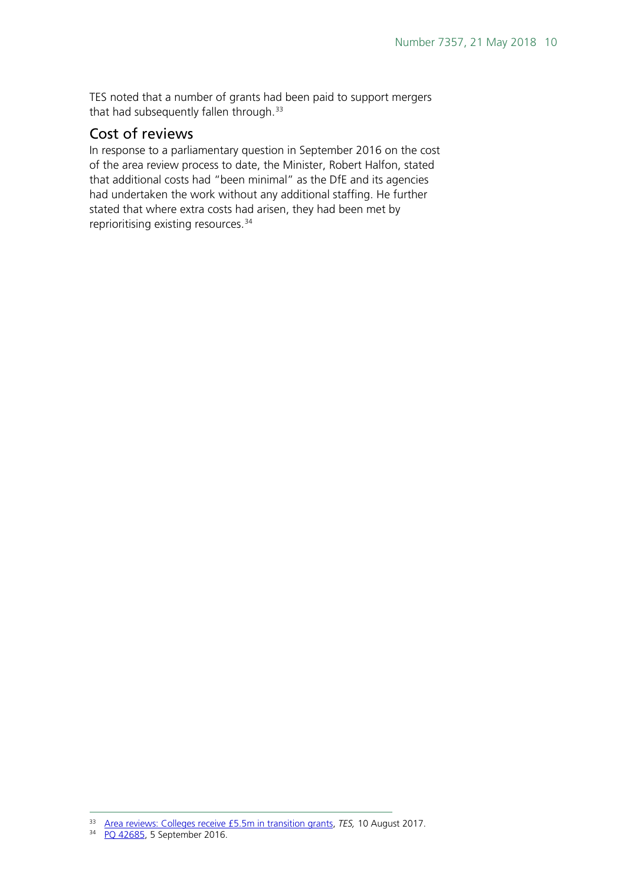TES noted that a number of grants had been paid to support mergers that had subsequently fallen through.<sup>[33](#page-9-1)</sup>

#### <span id="page-9-0"></span>Cost of reviews

In response to a parliamentary question in September 2016 on the cost of the area review process to date, the Minister, Robert Halfon, stated that additional costs had "been minimal" as the DfE and its agencies had undertaken the work without any additional staffing. He further stated that where extra costs had arisen, they had been met by reprioritising existing resources.[34](#page-9-2)

<span id="page-9-1"></span> <sup>33</sup> [Area reviews: Colleges receive £5.5m in transition grants,](https://www.tes.com/news/area-reviews-colleges-receive-ps55m-transition-grants) *TES,* 10 August 2017.

<span id="page-9-2"></span><sup>34</sup> [PQ 42685,](http://www.parliament.uk/written-questions-answers-statements/written-question/commons/2016-07-13/42685) 5 September 2016.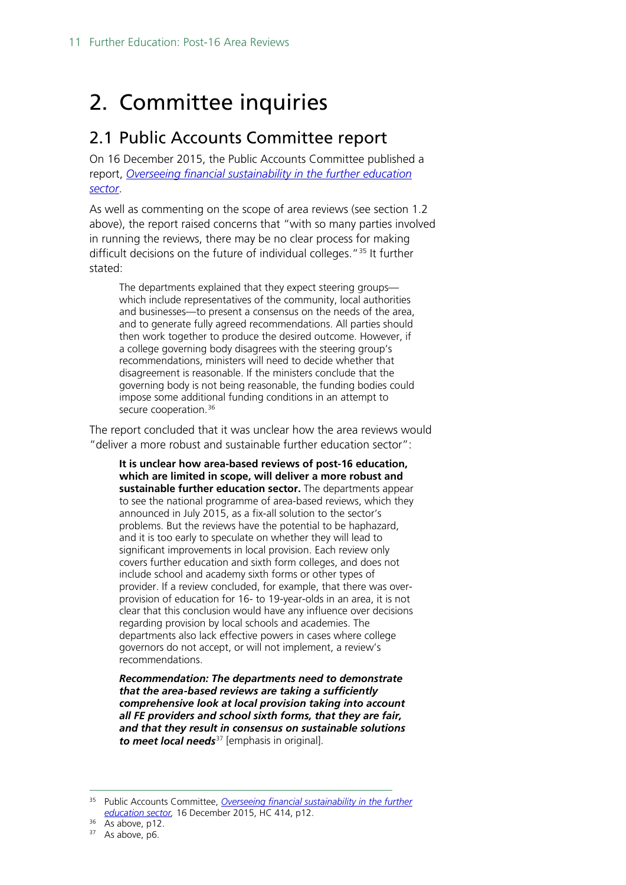# <span id="page-10-0"></span>2. Committee inquiries

## <span id="page-10-1"></span>2.1 Public Accounts Committee report

On 16 December 2015, the Public Accounts Committee published a report, *[Overseeing financial sustainability in the further education](http://www.publications.parliament.uk/pa/cm201516/cmselect/cmpubacc/414/414.pdf)  [sector](http://www.publications.parliament.uk/pa/cm201516/cmselect/cmpubacc/414/414.pdf)*.

As well as commenting on the scope of area reviews (see section 1.2 above), the report raised concerns that "with so many parties involved in running the reviews, there may be no clear process for making difficult decisions on the future of individual colleges."[35](#page-10-2) It further stated:

The departments explained that they expect steering groups which include representatives of the community, local authorities and businesses—to present a consensus on the needs of the area, and to generate fully agreed recommendations. All parties should then work together to produce the desired outcome. However, if a college governing body disagrees with the steering group's recommendations, ministers will need to decide whether that disagreement is reasonable. If the ministers conclude that the governing body is not being reasonable, the funding bodies could impose some additional funding conditions in an attempt to secure cooperation.<sup>[36](#page-10-3)</sup>

The report concluded that it was unclear how the area reviews would "deliver a more robust and sustainable further education sector":

**It is unclear how area-based reviews of post-16 education, which are limited in scope, will deliver a more robust and sustainable further education sector.** The departments appear to see the national programme of area-based reviews, which they announced in July 2015, as a fix-all solution to the sector's problems. But the reviews have the potential to be haphazard, and it is too early to speculate on whether they will lead to significant improvements in local provision. Each review only covers further education and sixth form colleges, and does not include school and academy sixth forms or other types of provider. If a review concluded, for example, that there was overprovision of education for 16- to 19-year-olds in an area, it is not clear that this conclusion would have any influence over decisions regarding provision by local schools and academies. The departments also lack effective powers in cases where college governors do not accept, or will not implement, a review's recommendations.

*Recommendation: The departments need to demonstrate that the area-based reviews are taking a sufficiently comprehensive look at local provision taking into account all FE providers and school sixth forms, that they are fair, and that they result in consensus on sustainable solutions to meet local needs*[37](#page-10-4) [emphasis in original].

<span id="page-10-2"></span> <sup>35</sup> Public Accounts Committee, *[Overseeing financial sustainability in the further](http://www.publications.parliament.uk/pa/cm201516/cmselect/cmpubacc/414/414.pdf)  education sector,* 16 December 2015, HC 414, p12. 36 As above, p12.

<span id="page-10-4"></span><span id="page-10-3"></span><sup>&</sup>lt;sup>37</sup> As above, p6.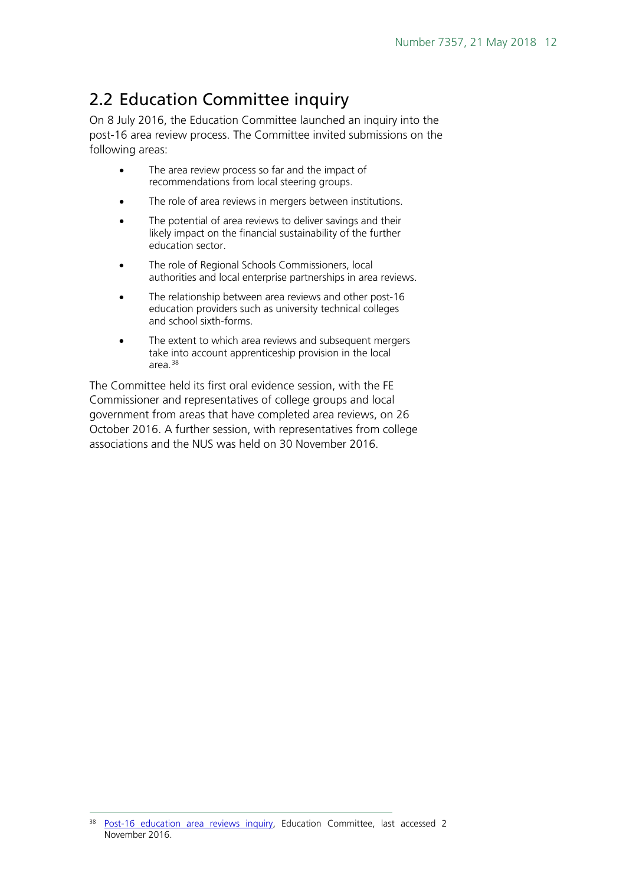# <span id="page-11-0"></span>2.2 Education Committee inquiry

On 8 July 2016, the Education Committee launched an inquiry into the post-16 area review process. The Committee invited submissions on the following areas:

- The area review process so far and the impact of recommendations from local steering groups.
- The role of area reviews in mergers between institutions.
- The potential of area reviews to deliver savings and their likely impact on the financial sustainability of the further education sector.
- The role of Regional Schools Commissioners, local authorities and local enterprise partnerships in area reviews.
- The relationship between area reviews and other post-16 education providers such as university technical colleges and school sixth-forms.
- The extent to which area reviews and subsequent mergers take into account apprenticeship provision in the local area.[38](#page-11-1)

The Committee held its first oral evidence session, with the FE Commissioner and representatives of college groups and local government from areas that have completed area reviews, on 26 October 2016. A further session, with representatives from college associations and the NUS was held on 30 November 2016.

<span id="page-11-1"></span><sup>&</sup>lt;sup>38</sup> Post-16 education area reviews inquiry. Education Committee, last accessed 2 November 2016.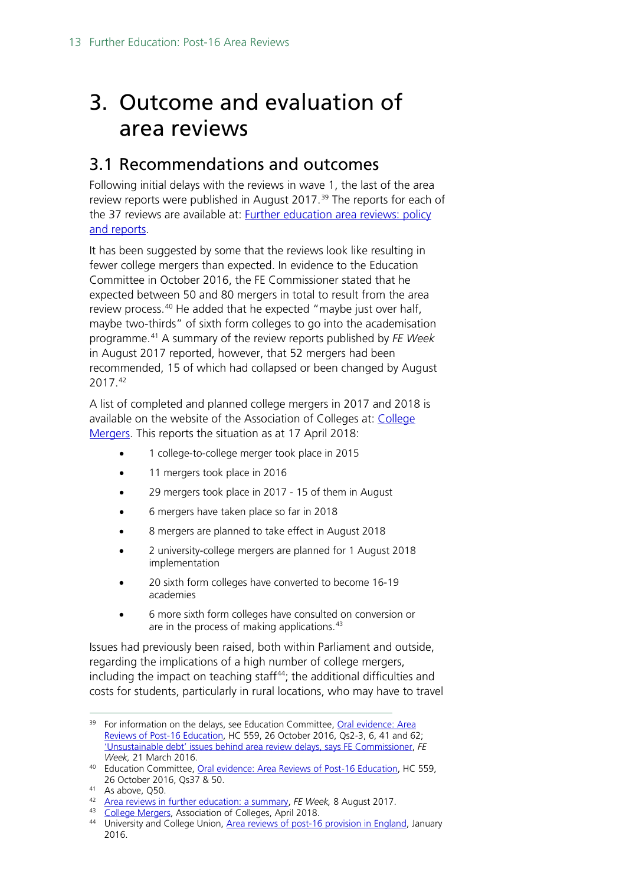# <span id="page-12-0"></span>3. Outcome and evaluation of area reviews

## <span id="page-12-1"></span>3.1 Recommendations and outcomes

Following initial delays with the reviews in wave 1, the last of the area review reports were published in August 2017.<sup>[39](#page-12-2)</sup> The reports for each of the 37 reviews are available at: [Further education area reviews: policy](https://www.gov.uk/government/collections/post-16-education-and-training-area-reviews)  [and reports.](https://www.gov.uk/government/collections/post-16-education-and-training-area-reviews)

It has been suggested by some that the reviews look like resulting in fewer college mergers than expected. In evidence to the Education Committee in October 2016, the FE Commissioner stated that he expected between 50 and 80 mergers in total to result from the area review process.<sup>[40](#page-12-3)</sup> He added that he expected "maybe just over half, maybe two-thirds" of sixth form colleges to go into the academisation programme.[41](#page-12-4) A summary of the review reports published by *FE Week*  in August 2017 reported, however, that 52 mergers had been recommended, 15 of which had collapsed or been changed by August 2017.[42](#page-12-5)

A list of completed and planned college mergers in 2017 and 2018 is available on the website of the Association of Colleges at: [College](https://www.aoc.co.uk/about-colleges/college-mergers)  [Mergers.](https://www.aoc.co.uk/about-colleges/college-mergers) This reports the situation as at 17 April 2018:

- 1 college-to-college merger took place in 2015
- 11 mergers took place in 2016
- 29 mergers took place in 2017 15 of them in August
- 6 mergers have taken place so far in 2018
- 8 mergers are planned to take effect in August 2018
- 2 university-college mergers are planned for 1 August 2018 implementation
- 20 sixth form colleges have converted to become 16-19 academies
- 6 more sixth form colleges have consulted on conversion or are in the process of making applications.<sup>[43](#page-12-6)</sup>

Issues had previously been raised, both within Parliament and outside, regarding the implications of a high number of college mergers, including the impact on teaching staff<sup>[44](#page-12-7)</sup>; the additional difficulties and costs for students, particularly in rural locations, who may have to travel

<span id="page-12-2"></span><sup>&</sup>lt;sup>39</sup> For information on the delays, see Education Committee, Oral evidence: Area [Reviews of Post-16 Education,](http://data.parliament.uk/writtenevidence/committeeevidence.svc/evidencedocument/education-committee/area-reviews-of-post16-education/oral/42263.pdf) HC 559, 26 October 2016, Qs2-3, 6, 41 and 62; ['Unsustainable debt' issues behind area review delays, says FE Commissioner,](http://feweek.co.uk/2016/03/21/unsustainable-debt-issues-behind-area-review-delays-says-fe-commissioner/) *FE Week,* 21 March 2016.

<span id="page-12-3"></span><sup>40</sup> Education Committee, [Oral evidence: Area Reviews of Post-16 Education,](http://data.parliament.uk/writtenevidence/committeeevidence.svc/evidencedocument/education-committee/area-reviews-of-post16-education/oral/42263.pdf) HC 559, 26 October 2016, Qs37 & 50.

<span id="page-12-4"></span><sup>41</sup> As above, Q50.

<span id="page-12-5"></span><sup>42</sup> [Area reviews in further education: a summary,](https://feweek.co.uk/2017/08/08/area-reviews-in-further-education-a-summary/) *FE Week,* 8 August 2017.

<span id="page-12-6"></span><sup>43</sup> [College Mergers,](https://www.aoc.co.uk/about-colleges/college-mergers) Association of Colleges, April 2018.

<span id="page-12-7"></span><sup>44</sup> University and College Union, [Area reviews of post-16 provision in England,](https://www.ucu.org.uk/media/7831/FE-area-reviews-MP-briefing-Jan-16/pdf/ucumpbriefing_post16areareviews_jan161.pdf) January 2016.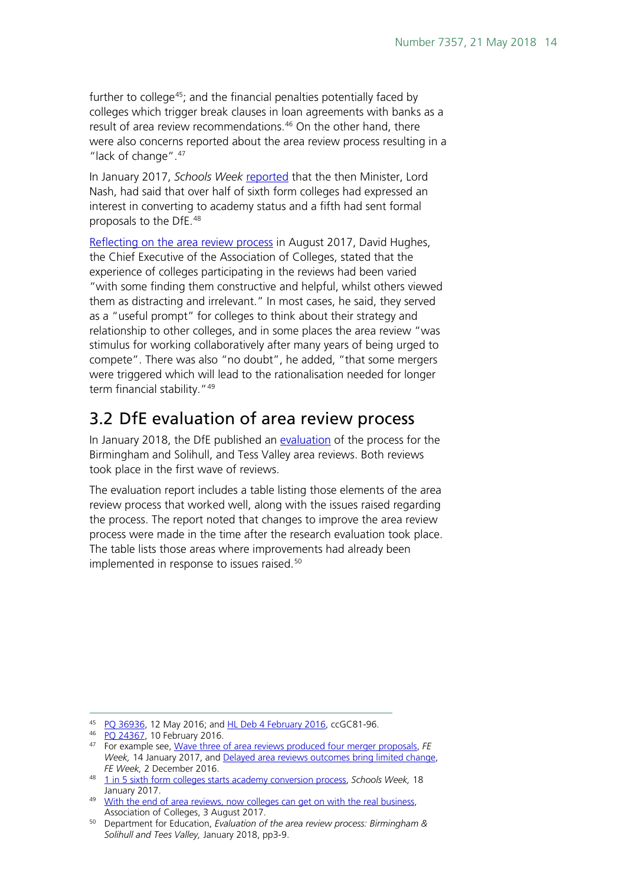further to college<sup>[45](#page-13-1)</sup>; and the financial penalties potentially faced by colleges which trigger break clauses in loan agreements with banks as a result of area review recommendations.<sup>[46](#page-13-2)</sup> On the other hand, there were also concerns reported about the area review process resulting in a "lack of change".<sup>[47](#page-13-3)</sup>

In January 2017, *Schools Week* [reported](http://schoolsweek.co.uk/1-in-5-sixth-form-colleges-starts-academy-conversion-process/) that the then Minister, Lord Nash, had said that over half of sixth form colleges had expressed an interest in converting to academy status and a fifth had sent formal proposals to the DfE.[48](#page-13-4)

[Reflecting on the area review process](https://www.aoc.co.uk/blog/the-end-area-reviews-now-colleges-can-get-the-real-business) in August 2017, David Hughes, the Chief Executive of the Association of Colleges, stated that the experience of colleges participating in the reviews had been varied "with some finding them constructive and helpful, whilst others viewed them as distracting and irrelevant." In most cases, he said, they served as a "useful prompt" for colleges to think about their strategy and relationship to other colleges, and in some places the area review "was stimulus for working collaboratively after many years of being urged to compete". There was also "no doubt", he added, "that some mergers were triggered which will lead to the rationalisation needed for longer term financial stability."<sup>[49](#page-13-5)</sup>

## <span id="page-13-0"></span>3.2 DfE evaluation of area review process

In January 2018, the DfE published an [evaluation](https://www.gov.uk/government/publications/further-education-area-review-wave-1-process-evaluation%5d) of the process for the Birmingham and Solihull, and Tess Valley area reviews. Both reviews took place in the first wave of reviews.

The evaluation report includes a table listing those elements of the area review process that worked well, along with the issues raised regarding the process. The report noted that changes to improve the area review process were made in the time after the research evaluation took place. The table lists those areas where improvements had already been implemented in response to issues raised.<sup>[50](#page-13-6)</sup>

<span id="page-13-1"></span> <sup>45</sup> [PQ 36936,](http://www.parliament.uk/written-questions-answers-statements/written-question/commons/2016-05-09/36936) 12 May 2016; and HL Deb [4 February 2016,](http://www.publications.parliament.uk/pa/ld201516/ldhansrd/text/160204-gc0002.htm#16020460000337) ccGC81-96.

<span id="page-13-2"></span><sup>46</sup> [PQ 24367,](http://www.parliament.uk/business/publications/written-questions-answers-statements/written-question/Commons/2016-01-26/24367/) 10 February 2016.

<span id="page-13-3"></span><sup>47</sup> For example see, [Wave three of area reviews produced four merger proposals,](http://feweek.co.uk/2017/01/14/wave-three-of-area-reviews-produces-four-merger-proposals/) *FE Week,* 14 January 2017, and [Delayed area reviews outcomes bring limited change,](http://feweek.co.uk/2016/12/02/delayed-area-reviews-outcomes-bring-limited-change/)  *FE Week,* 2 December 2016.

<span id="page-13-4"></span><sup>48</sup> [1 in 5 sixth form colleges starts academy conversion process,](http://schoolsweek.co.uk/1-in-5-sixth-form-colleges-starts-academy-conversion-process/) *Schools Week,* 18 January 2017.

<span id="page-13-5"></span><sup>&</sup>lt;sup>49</sup> With the end of area reviews, now colleges can get on with the real business, Association of Colleges, 3 August 2017.

<span id="page-13-6"></span><sup>50</sup> Department for Education, *Evaluation of the area review process: Birmingham & Solihull and Tees Valley,* January 2018, pp3-9.